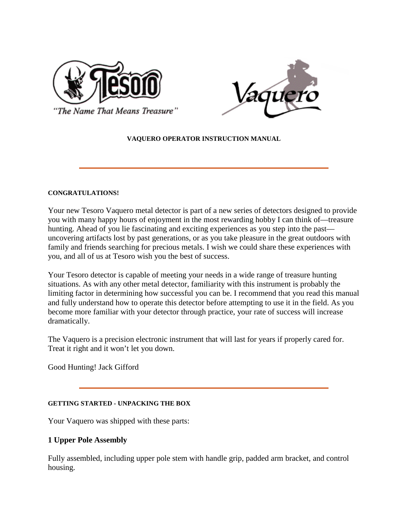



'The Name That Means Treasure''

## **VAQUERO OPERATOR INSTRUCTION MANUAL**

### **CONGRATULATIONS!**

Your new Tesoro Vaquero metal detector is part of a new series of detectors designed to provide you with many happy hours of enjoyment in the most rewarding hobby I can think of—treasure hunting. Ahead of you lie fascinating and exciting experiences as you step into the past uncovering artifacts lost by past generations, or as you take pleasure in the great outdoors with family and friends searching for precious metals. I wish we could share these experiences with you, and all of us at Tesoro wish you the best of success.

Your Tesoro detector is capable of meeting your needs in a wide range of treasure hunting situations. As with any other metal detector, familiarity with this instrument is probably the limiting factor in determining how successful you can be. I recommend that you read this manual and fully understand how to operate this detector before attempting to use it in the field. As you become more familiar with your detector through practice, your rate of success will increase dramatically.

The Vaquero is a precision electronic instrument that will last for years if properly cared for. Treat it right and it won't let you down.

Good Hunting! Jack Gifford

## **GETTING STARTED - UNPACKING THE BOX**

Your Vaquero was shipped with these parts:

# **1 Upper Pole Assembly**

Fully assembled, including upper pole stem with handle grip, padded arm bracket, and control housing.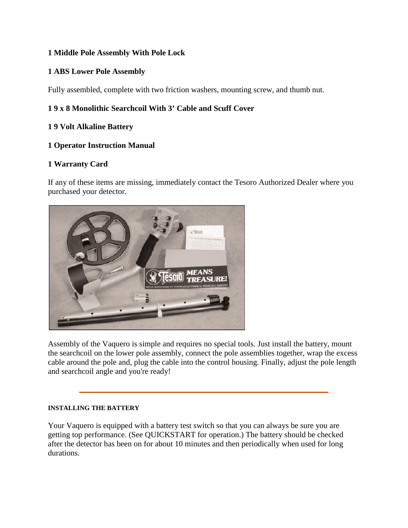# **1 Middle Pole Assembly With Pole Lock**

# **1 ABS Lower Pole Assembly**

Fully assembled, complete with two friction washers, mounting screw, and thumb nut.

# **1 9 x 8 Monolithic Searchcoil With 3' Cable and Scuff Cover**

# **1 9 Volt Alkaline Battery**

## **1 Operator Instruction Manual**

## **1 Warranty Card**

If any of these items are missing, immediately contact the Tesoro Authorized Dealer where you purchased your detector.



Assembly of the Vaquero is simple and requires no special tools. Just install the battery, mount the searchcoil on the lower pole assembly, connect the pole assemblies together, wrap the excess cable around the pole and, plug the cable into the control housing. Finally, adjust the pole length and searchcoil angle and you're ready!

### **INSTALLING THE BATTERY**

Your Vaquero is equipped with a battery test switch so that you can always be sure you are getting top performance. (See QUICKSTART for operation.) The battery should be checked after the detector has been on for about 10 minutes and then periodically when used for long durations.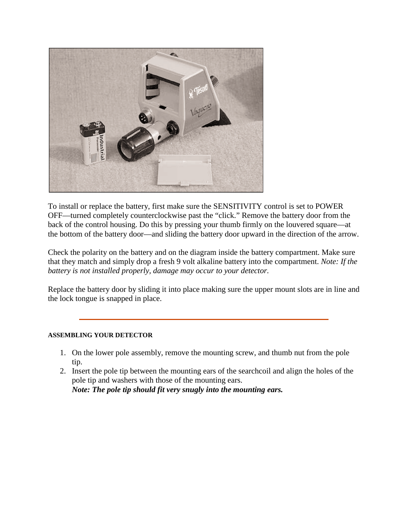

To install or replace the battery, first make sure the SENSITIVITY control is set to POWER OFF—turned completely counterclockwise past the "click." Remove the battery door from the back of the control housing. Do this by pressing your thumb firmly on the louvered square—at the bottom of the battery door—and sliding the battery door upward in the direction of the arrow.

Check the polarity on the battery and on the diagram inside the battery compartment. Make sure that they match and simply drop a fresh 9 volt alkaline battery into the compartment. *Note: If the battery is not installed properly, damage may occur to your detector.*

Replace the battery door by sliding it into place making sure the upper mount slots are in line and the lock tongue is snapped in place.

## **ASSEMBLING YOUR DETECTOR**

- 1. On the lower pole assembly, remove the mounting screw, and thumb nut from the pole tip.
- 2. Insert the pole tip between the mounting ears of the searchcoil and align the holes of the pole tip and washers with those of the mounting ears. *Note: The pole tip should fit very snugly into the mounting ears.*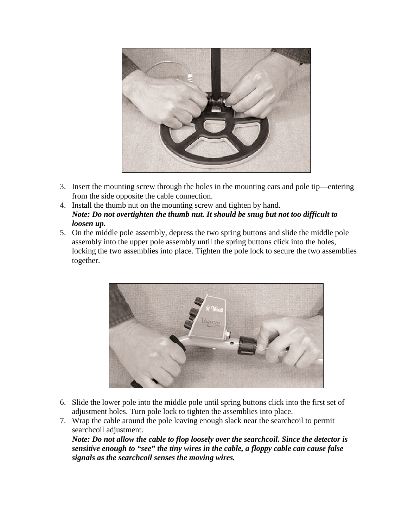

- 3. Insert the mounting screw through the holes in the mounting ears and pole tip—entering from the side opposite the cable connection.
- 4. Install the thumb nut on the mounting screw and tighten by hand. *Note: Do not overtighten the thumb nut. It should be snug but not too difficult to loosen up.*
- 5. On the middle pole assembly, depress the two spring buttons and slide the middle pole assembly into the upper pole assembly until the spring buttons click into the holes, locking the two assemblies into place. Tighten the pole lock to secure the two assemblies together.



- 6. Slide the lower pole into the middle pole until spring buttons click into the first set of adjustment holes. Turn pole lock to tighten the assemblies into place.
- 7. Wrap the cable around the pole leaving enough slack near the searchcoil to permit searchcoil adjustment.

*Note: Do not allow the cable to flop loosely over the searchcoil. Since the detector is sensitive enough to "see" the tiny wires in the cable, a floppy cable can cause false signals as the searchcoil senses the moving wires.*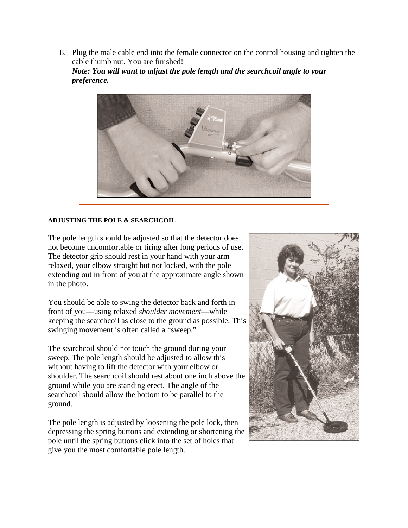8. Plug the male cable end into the female connector on the control housing and tighten the cable thumb nut. You are finished!

*Note: You will want to adjust the pole length and the searchcoil angle to your preference.*



### **ADJUSTING THE POLE & SEARCHCOIL**

The pole length should be adjusted so that the detector does not become uncomfortable or tiring after long periods of use. The detector grip should rest in your hand with your arm relaxed, your elbow straight but not locked, with the pole extending out in front of you at the approximate angle shown in the photo.

You should be able to swing the detector back and forth in front of you—using relaxed *shoulder movement*—while keeping the searchcoil as close to the ground as possible. This swinging movement is often called a "sweep."

The searchcoil should not touch the ground during your sweep. The pole length should be adjusted to allow this without having to lift the detector with your elbow or shoulder. The searchcoil should rest about one inch above the ground while you are standing erect. The angle of the searchcoil should allow the bottom to be parallel to the ground.

The pole length is adjusted by loosening the pole lock, then depressing the spring buttons and extending or shortening the pole until the spring buttons click into the set of holes that give you the most comfortable pole length.

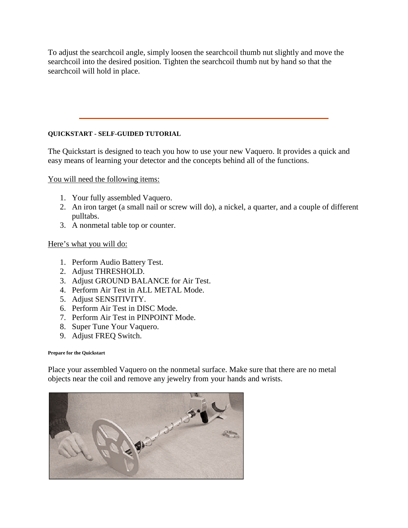To adjust the searchcoil angle, simply loosen the searchcoil thumb nut slightly and move the searchcoil into the desired position. Tighten the searchcoil thumb nut by hand so that the searchcoil will hold in place.

## **QUICKSTART - SELF-GUIDED TUTORIAL**

The Quickstart is designed to teach you how to use your new Vaquero. It provides a quick and easy means of learning your detector and the concepts behind all of the functions.

You will need the following items:

- 1. Your fully assembled Vaquero.
- 2. An iron target (a small nail or screw will do), a nickel, a quarter, and a couple of different pulltabs.
- 3. A nonmetal table top or counter.

## Here's what you will do:

- 1. Perform Audio Battery Test.
- 2. Adjust THRESHOLD.
- 3. Adjust GROUND BALANCE for Air Test.
- 4. Perform Air Test in ALL METAL Mode.
- 5. Adjust SENSITIVITY.
- 6. Perform Air Test in DISC Mode.
- 7. Perform Air Test in PINPOINT Mode.
- 8. Super Tune Your Vaquero.
- 9. Adjust FREQ Switch.

### **Prepare for the Quickstart**

Place your assembled Vaquero on the nonmetal surface. Make sure that there are no metal objects near the coil and remove any jewelry from your hands and wrists.

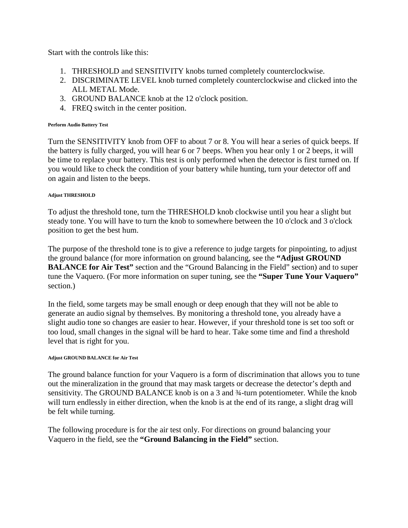Start with the controls like this:

- 1. THRESHOLD and SENSITIVITY knobs turned completely counterclockwise.
- 2. DISCRIMINATE LEVEL knob turned completely counterclockwise and clicked into the ALL METAL Mode.
- 3. GROUND BALANCE knob at the 12 o'clock position.
- 4. FREQ switch in the center position.

### **Perform Audio Battery Test**

Turn the SENSITIVITY knob from OFF to about 7 or 8. You will hear a series of quick beeps. If the battery is fully charged, you will hear 6 or 7 beeps. When you hear only 1 or 2 beeps, it will be time to replace your battery. This test is only performed when the detector is first turned on. If you would like to check the condition of your battery while hunting, turn your detector off and on again and listen to the beeps.

### **Adjust THRESHOLD**

To adjust the threshold tone, turn the THRESHOLD knob clockwise until you hear a slight but steady tone. You will have to turn the knob to somewhere between the 10 o'clock and 3 o'clock position to get the best hum.

The purpose of the threshold tone is to give a reference to judge targets for pinpointing, to adjust the ground balance (for more information on ground balancing, see the **"Adjust GROUND BALANCE for Air Test"** section and the "Ground Balancing in the Field" section) and to super tune the Vaquero. (For more information on super tuning, see the **"Super Tune Your Vaquero"** section.)

In the field, some targets may be small enough or deep enough that they will not be able to generate an audio signal by themselves. By monitoring a threshold tone, you already have a slight audio tone so changes are easier to hear. However, if your threshold tone is set too soft or too loud, small changes in the signal will be hard to hear. Take some time and find a threshold level that is right for you.

### **Adjust GROUND BALANCE for Air Test**

The ground balance function for your Vaquero is a form of discrimination that allows you to tune out the mineralization in the ground that may mask targets or decrease the detector's depth and sensitivity. The GROUND BALANCE knob is on a 3 and ¾-turn potentiometer. While the knob will turn endlessly in either direction, when the knob is at the end of its range, a slight drag will be felt while turning.

The following procedure is for the air test only. For directions on ground balancing your Vaquero in the field, see the **"Ground Balancing in the Field"** section.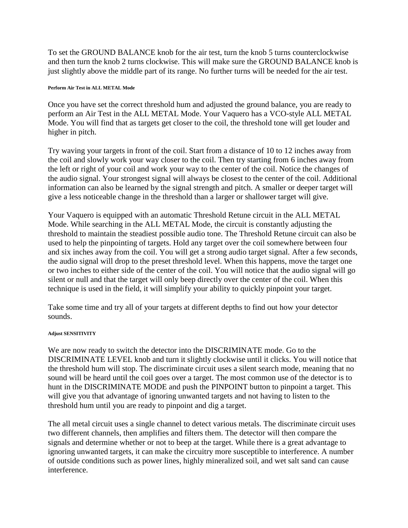To set the GROUND BALANCE knob for the air test, turn the knob 5 turns counterclockwise and then turn the knob 2 turns clockwise. This will make sure the GROUND BALANCE knob is just slightly above the middle part of its range. No further turns will be needed for the air test.

#### **Perform Air Test in ALL METAL Mode**

Once you have set the correct threshold hum and adjusted the ground balance, you are ready to perform an Air Test in the ALL METAL Mode. Your Vaquero has a VCO-style ALL METAL Mode. You will find that as targets get closer to the coil, the threshold tone will get louder and higher in pitch.

Try waving your targets in front of the coil. Start from a distance of 10 to 12 inches away from the coil and slowly work your way closer to the coil. Then try starting from 6 inches away from the left or right of your coil and work your way to the center of the coil. Notice the changes of the audio signal. Your strongest signal will always be closest to the center of the coil. Additional information can also be learned by the signal strength and pitch. A smaller or deeper target will give a less noticeable change in the threshold than a larger or shallower target will give.

Your Vaquero is equipped with an automatic Threshold Retune circuit in the ALL METAL Mode. While searching in the ALL METAL Mode, the circuit is constantly adjusting the threshold to maintain the steadiest possible audio tone. The Threshold Retune circuit can also be used to help the pinpointing of targets. Hold any target over the coil somewhere between four and six inches away from the coil. You will get a strong audio target signal. After a few seconds, the audio signal will drop to the preset threshold level. When this happens, move the target one or two inches to either side of the center of the coil. You will notice that the audio signal will go silent or null and that the target will only beep directly over the center of the coil. When this technique is used in the field, it will simplify your ability to quickly pinpoint your target.

Take some time and try all of your targets at different depths to find out how your detector sounds.

### **Adjust SENSITIVITY**

We are now ready to switch the detector into the DISCRIMINATE mode. Go to the DISCRIMINATE LEVEL knob and turn it slightly clockwise until it clicks. You will notice that the threshold hum will stop. The discriminate circuit uses a silent search mode, meaning that no sound will be heard until the coil goes over a target. The most common use of the detector is to hunt in the DISCRIMINATE MODE and push the PINPOINT button to pinpoint a target. This will give you that advantage of ignoring unwanted targets and not having to listen to the threshold hum until you are ready to pinpoint and dig a target.

The all metal circuit uses a single channel to detect various metals. The discriminate circuit uses two different channels, then amplifies and filters them. The detector will then compare the signals and determine whether or not to beep at the target. While there is a great advantage to ignoring unwanted targets, it can make the circuitry more susceptible to interference. A number of outside conditions such as power lines, highly mineralized soil, and wet salt sand can cause interference.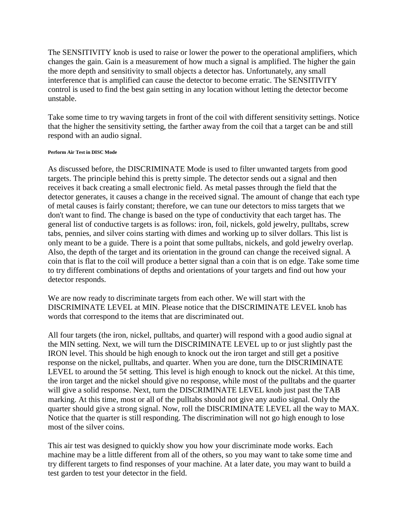The SENSITIVITY knob is used to raise or lower the power to the operational amplifiers, which changes the gain. Gain is a measurement of how much a signal is amplified. The higher the gain the more depth and sensitivity to small objects a detector has. Unfortunately, any small interference that is amplified can cause the detector to become erratic. The SENSITIVITY control is used to find the best gain setting in any location without letting the detector become unstable.

Take some time to try waving targets in front of the coil with different sensitivity settings. Notice that the higher the sensitivity setting, the farther away from the coil that a target can be and still respond with an audio signal.

### **Perform Air Test in DISC Mode**

As discussed before, the DISCRIMINATE Mode is used to filter unwanted targets from good targets. The principle behind this is pretty simple. The detector sends out a signal and then receives it back creating a small electronic field. As metal passes through the field that the detector generates, it causes a change in the received signal. The amount of change that each type of metal causes is fairly constant; therefore, we can tune our detectors to miss targets that we don't want to find. The change is based on the type of conductivity that each target has. The general list of conductive targets is as follows: iron, foil, nickels, gold jewelry, pulltabs, screw tabs, pennies, and silver coins starting with dimes and working up to silver dollars. This list is only meant to be a guide. There is a point that some pulltabs, nickels, and gold jewelry overlap. Also, the depth of the target and its orientation in the ground can change the received signal. A coin that is flat to the coil will produce a better signal than a coin that is on edge. Take some time to try different combinations of depths and orientations of your targets and find out how your detector responds.

We are now ready to discriminate targets from each other. We will start with the DISCRIMINATE LEVEL at MIN. Please notice that the DISCRIMINATE LEVEL knob has words that correspond to the items that are discriminated out.

All four targets (the iron, nickel, pulltabs, and quarter) will respond with a good audio signal at the MIN setting. Next, we will turn the DISCRIMINATE LEVEL up to or just slightly past the IRON level. This should be high enough to knock out the iron target and still get a positive response on the nickel, pulltabs, and quarter. When you are done, turn the DISCRIMINATE LEVEL to around the  $5¢$  setting. This level is high enough to knock out the nickel. At this time, the iron target and the nickel should give no response, while most of the pulltabs and the quarter will give a solid response. Next, turn the DISCRIMINATE LEVEL knob just past the TAB marking. At this time, most or all of the pulltabs should not give any audio signal. Only the quarter should give a strong signal. Now, roll the DISCRIMINATE LEVEL all the way to MAX. Notice that the quarter is still responding. The discrimination will not go high enough to lose most of the silver coins.

This air test was designed to quickly show you how your discriminate mode works. Each machine may be a little different from all of the others, so you may want to take some time and try different targets to find responses of your machine. At a later date, you may want to build a test garden to test your detector in the field.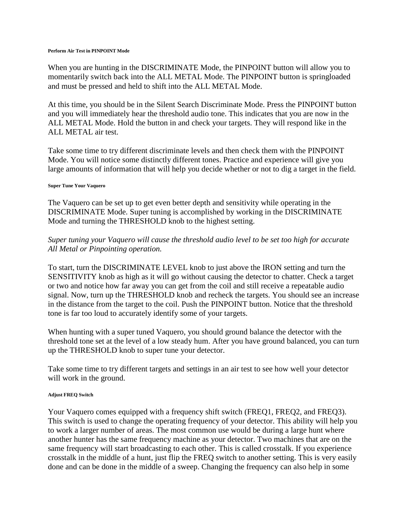#### **Perform Air Test in PINPOINT Mode**

When you are hunting in the DISCRIMINATE Mode, the PINPOINT button will allow you to momentarily switch back into the ALL METAL Mode. The PINPOINT button is springloaded and must be pressed and held to shift into the ALL METAL Mode.

At this time, you should be in the Silent Search Discriminate Mode. Press the PINPOINT button and you will immediately hear the threshold audio tone. This indicates that you are now in the ALL METAL Mode. Hold the button in and check your targets. They will respond like in the ALL METAL air test.

Take some time to try different discriminate levels and then check them with the PINPOINT Mode. You will notice some distinctly different tones. Practice and experience will give you large amounts of information that will help you decide whether or not to dig a target in the field.

#### **Super Tune Your Vaquero**

The Vaquero can be set up to get even better depth and sensitivity while operating in the DISCRIMINATE Mode. Super tuning is accomplished by working in the DISCRIMINATE Mode and turning the THRESHOLD knob to the highest setting.

## *Super tuning your Vaquero will cause the threshold audio level to be set too high for accurate All Metal or Pinpointing operation.*

To start, turn the DISCRIMINATE LEVEL knob to just above the IRON setting and turn the SENSITIVITY knob as high as it will go without causing the detector to chatter. Check a target or two and notice how far away you can get from the coil and still receive a repeatable audio signal. Now, turn up the THRESHOLD knob and recheck the targets. You should see an increase in the distance from the target to the coil. Push the PINPOINT button. Notice that the threshold tone is far too loud to accurately identify some of your targets.

When hunting with a super tuned Vaquero, you should ground balance the detector with the threshold tone set at the level of a low steady hum. After you have ground balanced, you can turn up the THRESHOLD knob to super tune your detector.

Take some time to try different targets and settings in an air test to see how well your detector will work in the ground.

#### **Adjust FREQ Switch**

Your Vaquero comes equipped with a frequency shift switch (FREQ1, FREQ2, and FREQ3). This switch is used to change the operating frequency of your detector. This ability will help you to work a larger number of areas. The most common use would be during a large hunt where another hunter has the same frequency machine as your detector. Two machines that are on the same frequency will start broadcasting to each other. This is called crosstalk. If you experience crosstalk in the middle of a hunt, just flip the FREQ switch to another setting. This is very easily done and can be done in the middle of a sweep. Changing the frequency can also help in some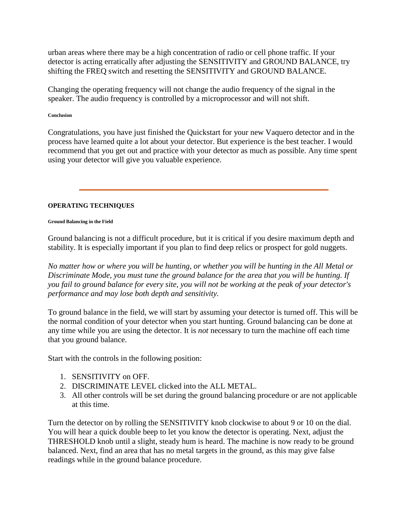urban areas where there may be a high concentration of radio or cell phone traffic. If your detector is acting erratically after adjusting the SENSITIVITY and GROUND BALANCE, try shifting the FREQ switch and resetting the SENSITIVITY and GROUND BALANCE.

Changing the operating frequency will not change the audio frequency of the signal in the speaker. The audio frequency is controlled by a microprocessor and will not shift.

**Conclusion**

Congratulations, you have just finished the Quickstart for your new Vaquero detector and in the process have learned quite a lot about your detector. But experience is the best teacher. I would recommend that you get out and practice with your detector as much as possible. Any time spent using your detector will give you valuable experience.

## **OPERATING TECHNIQUES**

### **Ground Balancing in the Field**

Ground balancing is not a difficult procedure, but it is critical if you desire maximum depth and stability. It is especially important if you plan to find deep relics or prospect for gold nuggets.

*No matter how or where you will be hunting, or whether you will be hunting in the All Metal or Discriminate Mode, you must tune the ground balance for the area that you will be hunting. If you fail to ground balance for every site, you will not be working at the peak of your detector's performance and may lose both depth and sensitivity.*

To ground balance in the field, we will start by assuming your detector is turned off. This will be the normal condition of your detector when you start hunting. Ground balancing can be done at any time while you are using the detector. It is *not* necessary to turn the machine off each time that you ground balance.

Start with the controls in the following position:

- 1. SENSITIVITY on OFF.
- 2. DISCRIMINATE LEVEL clicked into the ALL METAL.
- 3. All other controls will be set during the ground balancing procedure or are not applicable at this time.

Turn the detector on by rolling the SENSITIVITY knob clockwise to about 9 or 10 on the dial. You will hear a quick double beep to let you know the detector is operating. Next, adjust the THRESHOLD knob until a slight, steady hum is heard. The machine is now ready to be ground balanced. Next, find an area that has no metal targets in the ground, as this may give false readings while in the ground balance procedure.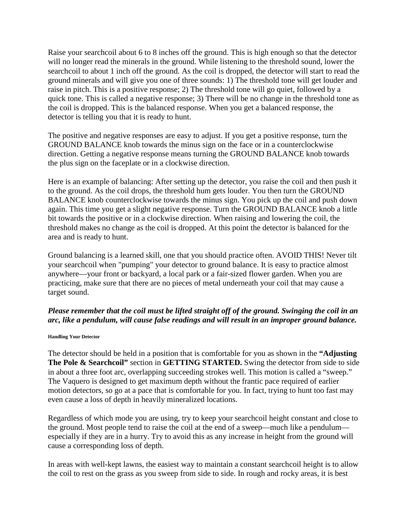Raise your searchcoil about 6 to 8 inches off the ground. This is high enough so that the detector will no longer read the minerals in the ground. While listening to the threshold sound, lower the searchcoil to about 1 inch off the ground. As the coil is dropped, the detector will start to read the ground minerals and will give you one of three sounds: 1) The threshold tone will get louder and raise in pitch. This is a positive response; 2) The threshold tone will go quiet, followed by a quick tone. This is called a negative response; 3) There will be no change in the threshold tone as the coil is dropped. This is the balanced response. When you get a balanced response, the detector is telling you that it is ready to hunt.

The positive and negative responses are easy to adjust. If you get a positive response, turn the GROUND BALANCE knob towards the minus sign on the face or in a counterclockwise direction. Getting a negative response means turning the GROUND BALANCE knob towards the plus sign on the faceplate or in a clockwise direction.

Here is an example of balancing: After setting up the detector, you raise the coil and then push it to the ground. As the coil drops, the threshold hum gets louder. You then turn the GROUND BALANCE knob counterclockwise towards the minus sign. You pick up the coil and push down again. This time you get a slight negative response. Turn the GROUND BALANCE knob a little bit towards the positive or in a clockwise direction. When raising and lowering the coil, the threshold makes no change as the coil is dropped. At this point the detector is balanced for the area and is ready to hunt.

Ground balancing is a learned skill, one that you should practice often. AVOID THIS! Never tilt your searchcoil when "pumping" your detector to ground balance. It is easy to practice almost anywhere—your front or backyard, a local park or a fair-sized flower garden. When you are practicing, make sure that there are no pieces of metal underneath your coil that may cause a target sound.

# *Please remember that the coil must be lifted straight off of the ground. Swinging the coil in an arc, like a pendulum, will cause false readings and will result in an improper ground balance.*

#### **Handling Your Detector**

The detector should be held in a position that is comfortable for you as shown in the **"Adjusting The Pole & Searchcoil"** section in **GETTING STARTED.** Swing the detector from side to side in about a three foot arc, overlapping succeeding strokes well. This motion is called a "sweep." The Vaquero is designed to get maximum depth without the frantic pace required of earlier motion detectors, so go at a pace that is comfortable for you. In fact, trying to hunt too fast may even cause a loss of depth in heavily mineralized locations.

Regardless of which mode you are using, try to keep your searchcoil height constant and close to the ground. Most people tend to raise the coil at the end of a sweep—much like a pendulum especially if they are in a hurry. Try to avoid this as any increase in height from the ground will cause a corresponding loss of depth.

In areas with well-kept lawns, the easiest way to maintain a constant searchcoil height is to allow the coil to rest on the grass as you sweep from side to side. In rough and rocky areas, it is best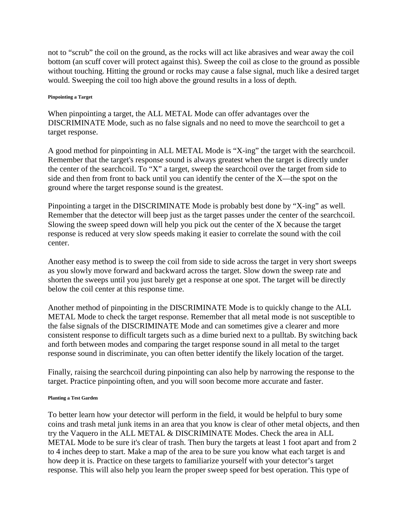not to "scrub" the coil on the ground, as the rocks will act like abrasives and wear away the coil bottom (an scuff cover will protect against this). Sweep the coil as close to the ground as possible without touching. Hitting the ground or rocks may cause a false signal, much like a desired target would. Sweeping the coil too high above the ground results in a loss of depth.

#### **Pinpointing a Target**

When pinpointing a target, the ALL METAL Mode can offer advantages over the DISCRIMINATE Mode, such as no false signals and no need to move the searchcoil to get a target response.

A good method for pinpointing in ALL METAL Mode is "X-ing" the target with the searchcoil. Remember that the target's response sound is always greatest when the target is directly under the center of the searchcoil. To "X" a target, sweep the searchcoil over the target from side to side and then from front to back until you can identify the center of the X—the spot on the ground where the target response sound is the greatest.

Pinpointing a target in the DISCRIMINATE Mode is probably best done by "X-ing" as well. Remember that the detector will beep just as the target passes under the center of the searchcoil. Slowing the sweep speed down will help you pick out the center of the X because the target response is reduced at very slow speeds making it easier to correlate the sound with the coil center.

Another easy method is to sweep the coil from side to side across the target in very short sweeps as you slowly move forward and backward across the target. Slow down the sweep rate and shorten the sweeps until you just barely get a response at one spot. The target will be directly below the coil center at this response time.

Another method of pinpointing in the DISCRIMINATE Mode is to quickly change to the ALL METAL Mode to check the target response. Remember that all metal mode is not susceptible to the false signals of the DISCRIMINATE Mode and can sometimes give a clearer and more consistent response to difficult targets such as a dime buried next to a pulltab. By switching back and forth between modes and comparing the target response sound in all metal to the target response sound in discriminate, you can often better identify the likely location of the target.

Finally, raising the searchcoil during pinpointing can also help by narrowing the response to the target. Practice pinpointing often, and you will soon become more accurate and faster.

#### **Planting a Test Garden**

To better learn how your detector will perform in the field, it would be helpful to bury some coins and trash metal junk items in an area that you know is clear of other metal objects, and then try the Vaquero in the ALL METAL & DISCRIMINATE Modes. Check the area in ALL METAL Mode to be sure it's clear of trash. Then bury the targets at least 1 foot apart and from 2 to 4 inches deep to start. Make a map of the area to be sure you know what each target is and how deep it is. Practice on these targets to familiarize yourself with your detector's target response. This will also help you learn the proper sweep speed for best operation. This type of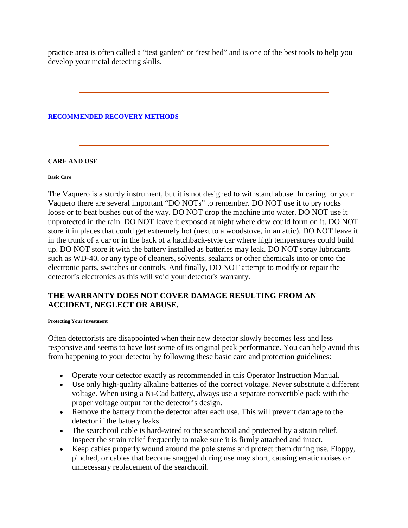practice area is often called a "test garden" or "test bed" and is one of the best tools to help you develop your metal detecting skills.

### **[RECOMMENDED RECOVERY METHODS](http://www.tesoro.com/sample/info/faq/recovery)**

### **CARE AND USE**

#### **Basic Care**

The Vaquero is a sturdy instrument, but it is not designed to withstand abuse. In caring for your Vaquero there are several important "DO NOTs" to remember. DO NOT use it to pry rocks loose or to beat bushes out of the way. DO NOT drop the machine into water. DO NOT use it unprotected in the rain. DO NOT leave it exposed at night where dew could form on it. DO NOT store it in places that could get extremely hot (next to a woodstove, in an attic). DO NOT leave it in the trunk of a car or in the back of a hatchback-style car where high temperatures could build up. DO NOT store it with the battery installed as batteries may leak. DO NOT spray lubricants such as WD-40, or any type of cleaners, solvents, sealants or other chemicals into or onto the electronic parts, switches or controls. And finally, DO NOT attempt to modify or repair the detector's electronics as this will void your detector's warranty.

# **THE WARRANTY DOES NOT COVER DAMAGE RESULTING FROM AN ACCIDENT, NEGLECT OR ABUSE.**

#### **Protecting Your Investment**

Often detectorists are disappointed when their new detector slowly becomes less and less responsive and seems to have lost some of its original peak performance. You can help avoid this from happening to your detector by following these basic care and protection guidelines:

- Operate your detector exactly as recommended in this Operator Instruction Manual.
- Use only high-quality alkaline batteries of the correct voltage. Never substitute a different voltage. When using a Ni-Cad battery, always use a separate convertible pack with the proper voltage output for the detector's design.
- Remove the battery from the detector after each use. This will prevent damage to the detector if the battery leaks.
- The searchcoil cable is hard-wired to the searchcoil and protected by a strain relief. Inspect the strain relief frequently to make sure it is firmly attached and intact.
- Keep cables properly wound around the pole stems and protect them during use. Floppy, pinched, or cables that become snagged during use may short, causing erratic noises or unnecessary replacement of the searchcoil.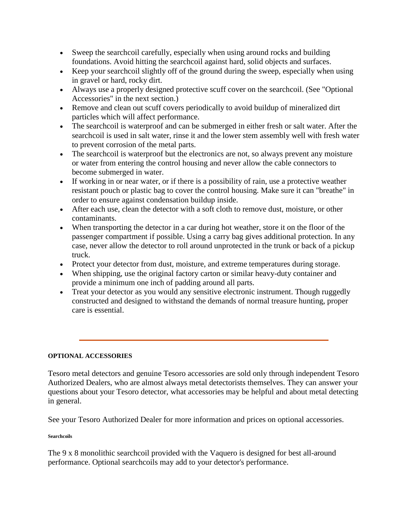- Sweep the searchcoil carefully, especially when using around rocks and building foundations. Avoid hitting the searchcoil against hard, solid objects and surfaces.
- Keep your searchcoil slightly off of the ground during the sweep, especially when using in gravel or hard, rocky dirt.
- Always use a properly designed protective scuff cover on the searchcoil. (See "Optional Accessories" in the next section.)
- Remove and clean out scuff covers periodically to avoid buildup of mineralized dirt particles which will affect performance.
- The searchcoil is waterproof and can be submerged in either fresh or salt water. After the searchcoil is used in salt water, rinse it and the lower stem assembly well with fresh water to prevent corrosion of the metal parts.
- The searchcoil is waterproof but the electronics are not, so always prevent any moisture or water from entering the control housing and never allow the cable connectors to become submerged in water.
- If working in or near water, or if there is a possibility of rain, use a protective weather resistant pouch or plastic bag to cover the control housing. Make sure it can "breathe" in order to ensure against condensation buildup inside.
- After each use, clean the detector with a soft cloth to remove dust, moisture, or other contaminants.
- When transporting the detector in a car during hot weather, store it on the floor of the passenger compartment if possible. Using a carry bag gives additional protection. In any case, never allow the detector to roll around unprotected in the trunk or back of a pickup truck.
- Protect your detector from dust, moisture, and extreme temperatures during storage.
- When shipping, use the original factory carton or similar heavy-duty container and provide a minimum one inch of padding around all parts.
- Treat your detector as you would any sensitive electronic instrument. Though ruggedly constructed and designed to withstand the demands of normal treasure hunting, proper care is essential.

# **OPTIONAL ACCESSORIES**

Tesoro metal detectors and genuine Tesoro accessories are sold only through independent Tesoro Authorized Dealers, who are almost always metal detectorists themselves. They can answer your questions about your Tesoro detector, what accessories may be helpful and about metal detecting in general.

See your Tesoro Authorized Dealer for more information and prices on optional accessories.

### **Searchcoils**

The 9 x 8 monolithic searchcoil provided with the Vaquero is designed for best all-around performance. Optional searchcoils may add to your detector's performance.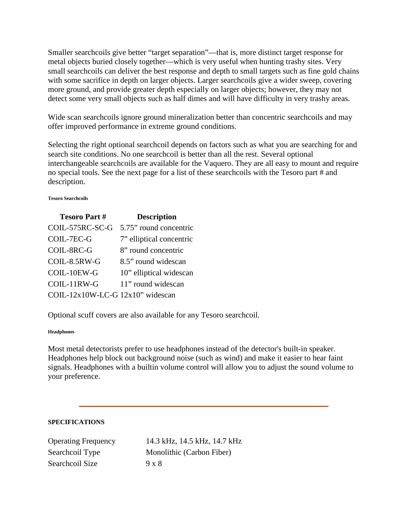Smaller searchcoils give better "target separation"—that is, more distinct target response for metal objects buried closely together—which is very useful when hunting trashy sites. Very small searchcoils can deliver the best response and depth to small targets such as fine gold chains with some sacrifice in depth on larger objects. Larger searchcoils give a wider sweep, covering more ground, and provide greater depth especially on larger objects; however, they may not detect some very small objects such as half dimes and will have difficulty in very trashy areas.

Wide scan searchcoils ignore ground mineralization better than concentric searchcoils and may offer improved performance in extreme ground conditions.

Selecting the right optional searchcoil depends on factors such as what you are searching for and search site conditions. No one searchcoil is better than all the rest. Several optional interchangeable searchcoils are available for the Vaquero. They are all easy to mount and require no special tools. See the next page for a list of these searchcoils with the Tesoro part # and description.

#### **Tesoro Searchcoils**

| <b>Tesoro Part#</b>              | <b>Description</b>       |
|----------------------------------|--------------------------|
| COIL-575RC-SC-G                  | 5.75" round concentric   |
| COIL-7EC-G                       | 7" elliptical concentric |
| COIL-8RC-G                       | 8" round concentric      |
| COIL-8.5RW-G                     | 8.5" round widescan      |
| COIL-10EW-G                      | 10" elliptical widescan  |
| COIL-11RW-G                      | 11" round widescan       |
| COIL-12x10W-LC-G 12x10" widescan |                          |

Optional scuff covers are also available for any Tesoro searchcoil.

### **Headphones**

Most metal detectorists prefer to use headphones instead of the detector's built-in speaker. Headphones help block out background noise (such as wind) and make it easier to hear faint signals. Headphones with a builtin volume control will allow you to adjust the sound volume to your preference.

## **SPECIFICATIONS**

Searchcoil Size  $9 \times 8$ 

Operating Frequency 14.3 kHz, 14.5 kHz, 14.7 kHz Searchcoil Type Monolithic (Carbon Fiber)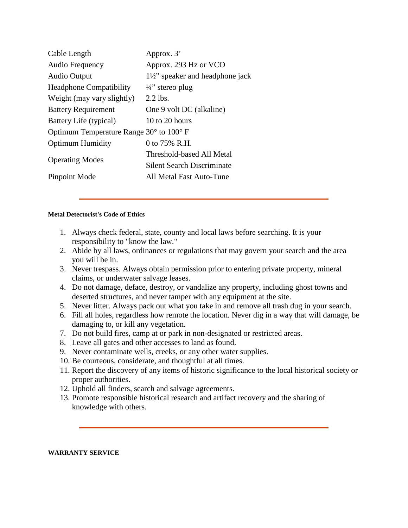| Approx. 3'                                |
|-------------------------------------------|
| Approx. 293 Hz or VCO                     |
| $1\frac{1}{2}$ speaker and headphone jack |
| $\frac{1}{4}$ stereo plug                 |
| $2.2$ lbs.                                |
| One 9 volt DC (alkaline)                  |
| 10 to 20 hours                            |
| Optimum Temperature Range 30° to 100° F   |
| 0 to 75% R.H.                             |
| Threshold-based All Metal                 |
| <b>Silent Search Discriminate</b>         |
| All Metal Fast Auto-Tune                  |
|                                           |

### **Metal Detectorist's Code of Ethics**

- 1. Always check federal, state, county and local laws before searching. It is your responsibility to "know the law."
- 2. Abide by all laws, ordinances or regulations that may govern your search and the area you will be in.
- 3. Never trespass. Always obtain permission prior to entering private property, mineral claims, or underwater salvage leases.
- 4. Do not damage, deface, destroy, or vandalize any property, including ghost towns and deserted structures, and never tamper with any equipment at the site.
- 5. Never litter. Always pack out what you take in and remove all trash dug in your search.
- 6. Fill all holes, regardless how remote the location. Never dig in a way that will damage, be damaging to, or kill any vegetation.
- 7. Do not build fires, camp at or park in non-designated or restricted areas.
- 8. Leave all gates and other accesses to land as found.
- 9. Never contaminate wells, creeks, or any other water supplies.
- 10. Be courteous, considerate, and thoughtful at all times.
- 11. Report the discovery of any items of historic significance to the local historical society or proper authorities.
- 12. Uphold all finders, search and salvage agreements.
- 13. Promote responsible historical research and artifact recovery and the sharing of knowledge with others.

#### **WARRANTY SERVICE**